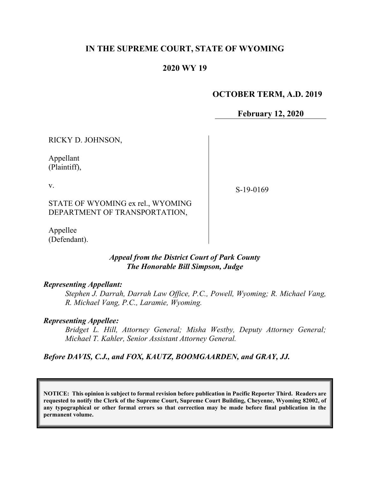### **IN THE SUPREME COURT, STATE OF WYOMING**

### **2020 WY 19**

#### **OCTOBER TERM, A.D. 2019**

**February 12, 2020**

RICKY D. JOHNSON,

Appellant (Plaintiff),

v.

S-19-0169

STATE OF WYOMING ex rel., WYOMING DEPARTMENT OF TRANSPORTATION,

Appellee (Defendant).

### *Appeal from the District Court of Park County The Honorable Bill Simpson, Judge*

#### *Representing Appellant:*

*Stephen J. Darrah, Darrah Law Office, P.C., Powell, Wyoming; R. Michael Vang, R. Michael Vang, P.C., Laramie, Wyoming.*

#### *Representing Appellee:*

*Bridget L. Hill, Attorney General; Misha Westby, Deputy Attorney General; Michael T. Kahler, Senior Assistant Attorney General.*

#### *Before DAVIS, C.J., and FOX, KAUTZ, BOOMGAARDEN, and GRAY, JJ.*

**NOTICE: This opinion is subject to formal revision before publication in Pacific Reporter Third. Readers are requested to notify the Clerk of the Supreme Court, Supreme Court Building, Cheyenne, Wyoming 82002, of any typographical or other formal errors so that correction may be made before final publication in the permanent volume.**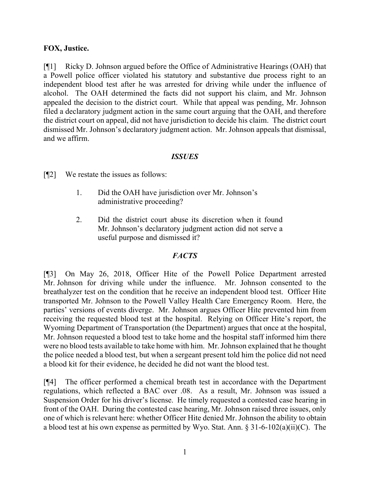### **FOX, Justice.**

[¶1] Ricky D. Johnson argued before the Office of Administrative Hearings (OAH) that a Powell police officer violated his statutory and substantive due process right to an independent blood test after he was arrested for driving while under the influence of alcohol. The OAH determined the facts did not support his claim, and Mr. Johnson appealed the decision to the district court. While that appeal was pending, Mr. Johnson filed a declaratory judgment action in the same court arguing that the OAH, and therefore the district court on appeal, did not have jurisdiction to decide his claim. The district court dismissed Mr. Johnson's declaratory judgment action. Mr. Johnson appeals that dismissal, and we affirm.

### *ISSUES*

[¶2] We restate the issues as follows:

- 1. Did the OAH have jurisdiction over Mr. Johnson's administrative proceeding?
- 2. Did the district court abuse its discretion when it found Mr. Johnson's declaratory judgment action did not serve a useful purpose and dismissed it?

#### *FACTS*

[¶3] On May 26, 2018, Officer Hite of the Powell Police Department arrested Mr. Johnson for driving while under the influence. Mr. Johnson consented to the breathalyzer test on the condition that he receive an independent blood test. Officer Hite transported Mr. Johnson to the Powell Valley Health Care Emergency Room. Here, the parties' versions of events diverge. Mr. Johnson argues Officer Hite prevented him from receiving the requested blood test at the hospital. Relying on Officer Hite's report, the Wyoming Department of Transportation (the Department) argues that once at the hospital, Mr. Johnson requested a blood test to take home and the hospital staff informed him there were no blood tests available to take home with him. Mr. Johnson explained that he thought the police needed a blood test, but when a sergeant present told him the police did not need a blood kit for their evidence, he decided he did not want the blood test.

[¶4] The officer performed a chemical breath test in accordance with the Department regulations, which reflected a BAC over .08. As a result, Mr. Johnson was issued a Suspension Order for his driver's license. He timely requested a contested case hearing in front of the OAH. During the contested case hearing, Mr. Johnson raised three issues, only one of which is relevant here: whether Officer Hite denied Mr. Johnson the ability to obtain a blood test at his own expense as permitted by Wyo. Stat. Ann.  $\S 31-6-102(a)(ii)(C)$ . The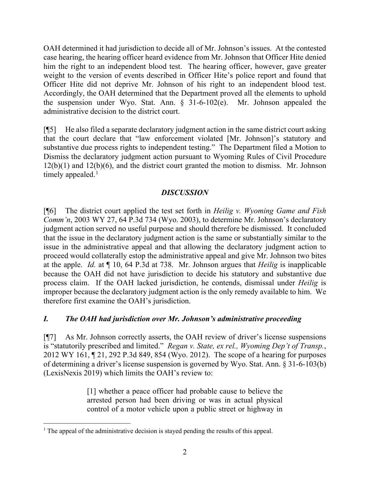OAH determined it had jurisdiction to decide all of Mr. Johnson's issues. At the contested case hearing, the hearing officer heard evidence from Mr. Johnson that Officer Hite denied him the right to an independent blood test. The hearing officer, however, gave greater weight to the version of events described in Officer Hite's police report and found that Officer Hite did not deprive Mr. Johnson of his right to an independent blood test. Accordingly, the OAH determined that the Department proved all the elements to uphold the suspension under Wyo. Stat. Ann. § 31-6-102(e). Mr. Johnson appealed the administrative decision to the district court.

[¶5] He also filed a separate declaratory judgment action in the same district court asking that the court declare that "law enforcement violated [Mr. Johnson]'s statutory and substantive due process rights to independent testing." The Department filed a Motion to Dismiss the declaratory judgment action pursuant to Wyoming Rules of Civil Procedure  $12(b)(1)$  and  $12(b)(6)$ , and the district court granted the motion to dismiss. Mr. Johnson timely appealed. $<sup>1</sup>$  $<sup>1</sup>$  $<sup>1</sup>$ </sup>

# *DISCUSSION*

[¶6] The district court applied the test set forth in *Heilig v. Wyoming Game and Fish Comm'n*, 2003 WY 27, 64 P.3d 734 (Wyo. 2003), to determine Mr. Johnson's declaratory judgment action served no useful purpose and should therefore be dismissed. It concluded that the issue in the declaratory judgment action is the same or substantially similar to the issue in the administrative appeal and that allowing the declaratory judgment action to proceed would collaterally estop the administrative appeal and give Mr. Johnson two bites at the apple. *Id.* at ¶ 10, 64 P.3d at 738. Mr. Johnson argues that *Heilig* is inapplicable because the OAH did not have jurisdiction to decide his statutory and substantive due process claim. If the OAH lacked jurisdiction, he contends, dismissal under *Heilig* is improper because the declaratory judgment action is the only remedy available to him. We therefore first examine the OAH's jurisdiction.

## *I. The OAH had jurisdiction over Mr. Johnson's administrative proceeding*

[¶7] As Mr. Johnson correctly asserts, the OAH review of driver's license suspensions is "statutorily prescribed and limited." *Regan v. State, ex rel., Wyoming Dep't of Transp.*, 2012 WY 161, ¶ 21, 292 P.3d 849, 854 (Wyo. 2012). The scope of a hearing for purposes of determining a driver's license suspension is governed by Wyo. Stat. Ann. § 31-6-103(b) (LexisNexis 2019) which limits the OAH's review to:

> [1] whether a peace officer had probable cause to believe the arrested person had been driving or was in actual physical control of a motor vehicle upon a public street or highway in

<span id="page-2-0"></span> $<sup>1</sup>$  The appeal of the administrative decision is stayed pending the results of this appeal.</sup>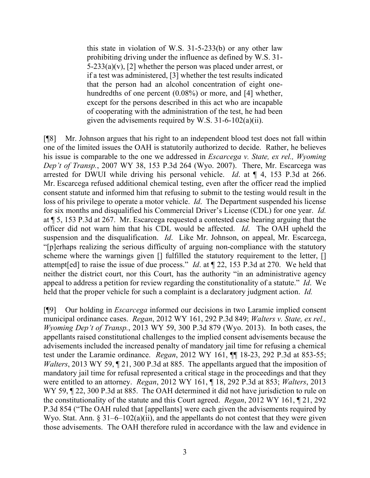this state in violation of W.S. 31-5-233(b) or any other law prohibiting driving under the influence as defined by W.S. 31-  $5-233(a)(v)$ , [2] whether the person was placed under arrest, or if a test was administered, [3] whether the test results indicated that the person had an alcohol concentration of eight onehundredths of one percent (0.08%) or more, and [4] whether, except for the persons described in this act who are incapable of cooperating with the administration of the test, he had been given the advisements required by W.S. 31-6-102(a)(ii).

[¶8] Mr. Johnson argues that his right to an independent blood test does not fall within one of the limited issues the OAH is statutorily authorized to decide. Rather, he believes his issue is comparable to the one we addressed in *Escarcega v. State, ex rel., Wyoming Dep't of Transp.*, 2007 WY 38, 153 P.3d 264 (Wyo. 2007). There, Mr. Escarcega was arrested for DWUI while driving his personal vehicle. *Id*. at ¶ 4, 153 P.3d at 266. Mr. Escarcega refused additional chemical testing, even after the officer read the implied consent statute and informed him that refusing to submit to the testing would result in the loss of his privilege to operate a motor vehicle. *Id*. The Department suspended his license for six months and disqualified his Commercial Driver's License (CDL) for one year. *Id.*  at ¶ 5, 153 P.3d at 267. Mr. Escarcega requested a contested case hearing arguing that the officer did not warn him that his CDL would be affected. *Id*. The OAH upheld the suspension and the disqualification. *Id*. Like Mr. Johnson, on appeal, Mr. Escarcega, "[p]erhaps realizing the serious difficulty of arguing non-compliance with the statutory scheme where the warnings given [] fulfilled the statutory requirement to the letter, [] attempt[ed] to raise the issue of due process." *Id*. at ¶ 22, 153 P.3d at 270. We held that neither the district court, nor this Court, has the authority "in an administrative agency appeal to address a petition for review regarding the constitutionality of a statute." *Id*. We held that the proper vehicle for such a complaint is a declaratory judgment action. *Id.* 

[¶9] Our holding in *Escarcega* informed our decisions in two Laramie implied consent municipal ordinance cases. *Regan*, 2012 WY 161, 292 P.3d 849; *Walters v. State, ex rel., Wyoming Dep't of Transp.*, 2013 WY 59, 300 P.3d 879 (Wyo. 2013). In both cases, the appellants raised constitutional challenges to the implied consent advisements because the advisements included the increased penalty of mandatory jail time for refusing a chemical test under the Laramie ordinance. *Regan*, 2012 WY 161, ¶¶ 18-23, 292 P.3d at 853-55; *Walters*, 2013 WY 59, 121, 300 P.3d at 885. The appellants argued that the imposition of mandatory jail time for refusal represented a critical stage in the proceedings and that they were entitled to an attorney. *Regan*, 2012 WY 161, ¶ 18, 292 P.3d at 853; *Walters*, 2013 WY 59, 122, 300 P.3d at 885. The OAH determined it did not have jurisdiction to rule on the constitutionality of the statute and this Court agreed. *Regan*, 2012 WY 161, ¶ 21, 292 P.3d 854 ("The OAH ruled that [appellants] were each given the advisements required by Wyo. Stat. Ann.  $\S 31-6-102(a)(ii)$ , and the appellants do not contest that they were given those advisements. The OAH therefore ruled in accordance with the law and evidence in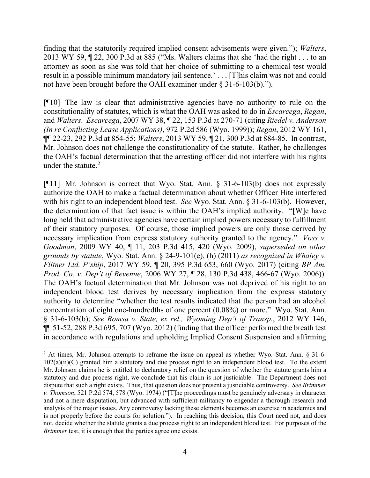finding that the statutorily required implied consent advisements were given."); *Walters*, 2013 WY 59, ¶ 22, 300 P.3d at 885 ("Ms. Walters claims that she 'had the right . . . to an attorney as soon as she was told that her choice of submitting to a chemical test would result in a possible minimum mandatory jail sentence.' . . . [T]his claim was not and could not have been brought before the OAH examiner under § 31-6-103(b).").

[¶10] The law is clear that administrative agencies have no authority to rule on the constitutionality of statutes, which is what the OAH was asked to do in *Escarcega*, *Regan*, and *Walters*. *Escarcega*, 2007 WY 38, ¶ 22, 153 P.3d at 270-71 (citing *Riedel v. Anderson (In re Conflicting Lease Applications)*, 972 P.2d 586 (Wyo. 1999)); *Regan*, 2012 WY 161, ¶¶ 22-23, 292 P.3d at 854-55; *Walters*, 2013 WY 59, ¶ 21, 300 P.3d at 884-85. In contrast, Mr. Johnson does not challenge the constitutionality of the statute. Rather, he challenges the OAH's factual determination that the arresting officer did not interfere with his rights under the statute. $2$ 

[¶11] Mr. Johnson is correct that Wyo. Stat. Ann. § 31-6-103(b) does not expressly authorize the OAH to make a factual determination about whether Officer Hite interfered with his right to an independent blood test. *See* Wyo. Stat. Ann. § 31-6-103(b). However, the determination of that fact issue is within the OAH's implied authority. "[W]e have long held that administrative agencies have certain implied powers necessary to fulfillment of their statutory purposes. Of course, those implied powers are only those derived by necessary implication from express statutory authority granted to the agency." *Voss v. Goodman*, 2009 WY 40, ¶ 11, 203 P.3d 415, 420 (Wyo. 2009), *superseded on other grounds by statute*, Wyo. Stat. Ann. § 24-9-101(e), (h) (2011) *as recognized in Whaley v. Flitner Ltd. P'ship*, 2017 WY 59, ¶ 20, 395 P.3d 653, 660 (Wyo. 2017) (citing *BP Am. Prod. Co. v. Dep't of Revenue*, 2006 WY 27, ¶ 28, 130 P.3d 438, 466-67 (Wyo. 2006)). The OAH's factual determination that Mr. Johnson was not deprived of his right to an independent blood test derives by necessary implication from the express statutory authority to determine "whether the test results indicated that the person had an alcohol concentration of eight one-hundredths of one percent (0.08%) or more." Wyo. Stat. Ann. § 31-6-103(b); *See Romsa v. State, ex rel., Wyoming Dep't of Transp.*, 2012 WY 146, ¶¶ 51-52, 288 P.3d 695, 707 (Wyo. 2012) (finding that the officer performed the breath test in accordance with regulations and upholding Implied Consent Suspension and affirming

<span id="page-4-0"></span><sup>&</sup>lt;sup>2</sup> At times, Mr. Johnson attempts to reframe the issue on appeal as whether Wyo. Stat. Ann.  $\S$  31-6- $102(a)(ii)(C)$  granted him a statutory and due process right to an independent blood test. To the extent Mr. Johnson claims he is entitled to declaratory relief on the question of whether the statute grants him a statutory and due process right, we conclude that his claim is not justiciable. The Department does not dispute that such a right exists. Thus, that question does not present a justiciable controversy. *See Brimmer v. Thomson*, 521 P.2d 574, 578 (Wyo. 1974) ("[T]he proceedings must be genuinely adversary in character and not a mere disputation, but advanced with sufficient militancy to engender a thorough research and analysis of the major issues. Any controversy lacking these elements becomes an exercise in academics and is not properly before the courts for solution."). In reaching this decision, this Court need not, and does not, decide whether the statute grants a due process right to an independent blood test. For purposes of the *Brimmer* test, it is enough that the parties agree one exists.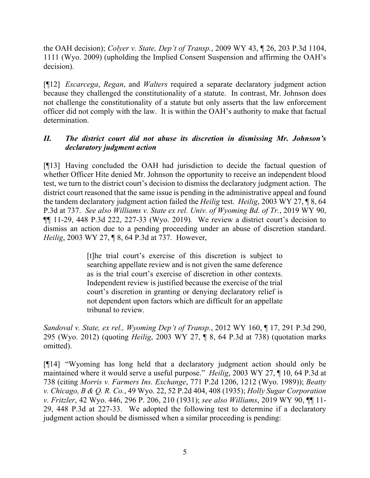the OAH decision); *Colyer v. State, Dep't of Transp.*, 2009 WY 43, ¶ 26, 203 P.3d 1104, 1111 (Wyo. 2009) (upholding the Implied Consent Suspension and affirming the OAH's decision).

[¶12] *Escarcega*, *Regan*, and *Walters* required a separate declaratory judgment action because they challenged the constitutionality of a statute. In contrast, Mr. Johnson does not challenge the constitutionality of a statute but only asserts that the law enforcement officer did not comply with the law. It is within the OAH's authority to make that factual determination.

## *II. The district court did not abuse its discretion in dismissing Mr. Johnson's declaratory judgment action*

[¶13] Having concluded the OAH had jurisdiction to decide the factual question of whether Officer Hite denied Mr. Johnson the opportunity to receive an independent blood test, we turn to the district court's decision to dismiss the declaratory judgment action. The district court reasoned that the same issue is pending in the administrative appeal and found the tandem declaratory judgment action failed the *Heilig* test. *Heilig*, 2003 WY 27, ¶ 8, 64 P.3d at 737. *See also Williams v. State ex rel. Univ. of Wyoming Bd. of Tr.*, 2019 WY 90, ¶¶ 11-29, 448 P.3d 222, 227-33 (Wyo. 2019)*.* We review a district court's decision to dismiss an action due to a pending proceeding under an abuse of discretion standard. *Heilig*, 2003 WY 27, ¶ 8, 64 P.3d at 737. However,

> [t]he trial court's exercise of this discretion is subject to searching appellate review and is not given the same deference as is the trial court's exercise of discretion in other contexts. Independent review is justified because the exercise of the trial court's discretion in granting or denying declaratory relief is not dependent upon factors which are difficult for an appellate tribunal to review.

*Sandoval v. State, ex rel., Wyoming Dep't of Transp.*, 2012 WY 160, ¶ 17, 291 P.3d 290, 295 (Wyo. 2012) (quoting *Heilig*, 2003 WY 27, ¶ 8, 64 P.3d at 738) (quotation marks omitted).

[¶14] "Wyoming has long held that a declaratory judgment action should only be maintained where it would serve a useful purpose." *Heilig*, 2003 WY 27, ¶ 10, 64 P.3d at 738 (citing *Morris v. Farmers Ins. Exchange*, 771 P.2d 1206, 1212 (Wyo. 1989)); *Beatty v. Chicago, B & Q. R. Co.*, 49 Wyo. 22, 52 P.2d 404, 408 (1935); *Holly Sugar Corporation v. Fritzler*, 42 Wyo. 446, 296 P. 206, 210 (1931); *see also Williams*, 2019 WY 90, ¶¶ 11- 29, 448 P.3d at 227-33. We adopted the following test to determine if a declaratory judgment action should be dismissed when a similar proceeding is pending: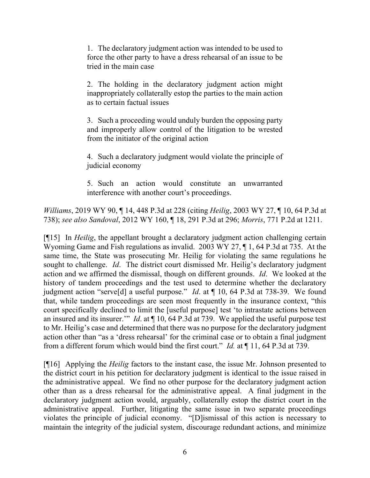1. The declaratory judgment action was intended to be used to force the other party to have a dress rehearsal of an issue to be tried in the main case

2. The holding in the declaratory judgment action might inappropriately collaterally estop the parties to the main action as to certain factual issues

3. Such a proceeding would unduly burden the opposing party and improperly allow control of the litigation to be wrested from the initiator of the original action

4. Such a declaratory judgment would violate the principle of judicial economy

5. Such an action would constitute an unwarranted interference with another court's proceedings.

*Williams*, 2019 WY 90, ¶ 14, 448 P.3d at 228 (citing *Heilig*, 2003 WY 27, ¶ 10, 64 P.3d at 738); *see also Sandoval*, 2012 WY 160, ¶ 18, 291 P.3d at 296; *Morris*, 771 P.2d at 1211.

[¶15] In *Heilig*, the appellant brought a declaratory judgment action challenging certain Wyoming Game and Fish regulations as invalid. 2003 WY 27, ¶ 1, 64 P.3d at 735. At the same time, the State was prosecuting Mr. Heilig for violating the same regulations he sought to challenge. *Id*. The district court dismissed Mr. Heilig's declaratory judgment action and we affirmed the dismissal, though on different grounds. *Id*. We looked at the history of tandem proceedings and the test used to determine whether the declaratory judgment action "serve[d] a useful purpose." *Id*. at ¶ 10, 64 P.3d at 738-39. We found that, while tandem proceedings are seen most frequently in the insurance context, "this court specifically declined to limit the [useful purpose] test 'to intrastate actions between an insured and its insurer.'" *Id*. at ¶ 10, 64 P.3d at 739. We applied the useful purpose test to Mr. Heilig's case and determined that there was no purpose for the declaratory judgment action other than "as a 'dress rehearsal' for the criminal case or to obtain a final judgment from a different forum which would bind the first court." *Id.* at ¶ 11, 64 P.3d at 739.

[¶16] Applying the *Heilig* factors to the instant case, the issue Mr. Johnson presented to the district court in his petition for declaratory judgment is identical to the issue raised in the administrative appeal. We find no other purpose for the declaratory judgment action other than as a dress rehearsal for the administrative appeal. A final judgment in the declaratory judgment action would, arguably, collaterally estop the district court in the administrative appeal. Further, litigating the same issue in two separate proceedings violates the principle of judicial economy. "[D]ismissal of this action is necessary to maintain the integrity of the judicial system, discourage redundant actions, and minimize